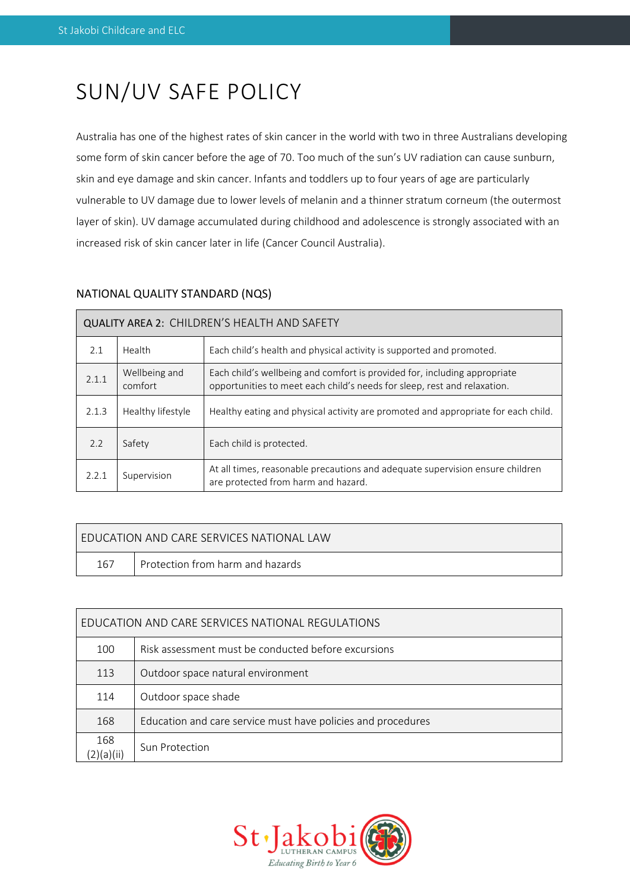# SUN/UV SAFE POLICY

Australia has one of the highest rates of skin cancer in the world with two in three Australians developing some form of skin cancer before the age of 70. Too much of the sun's UV radiation can cause sunburn, skin and eye damage and skin cancer. Infants and toddlers up to four years of age are particularly vulnerable to UV damage due to lower levels of melanin and a thinner stratum corneum (the outermost layer of skin). UV damage accumulated during childhood and adolescence is strongly associated with an increased risk of skin cancer later in life (Cancer Council Australia).

# NATIONAL QUALITY STANDARD (NQS)

| QUALITY AREA 2: CHILDREN'S HEALTH AND SAFETY |                          |                                                                                                                                                       |  |  |  |
|----------------------------------------------|--------------------------|-------------------------------------------------------------------------------------------------------------------------------------------------------|--|--|--|
| 2.1                                          | Health                   | Each child's health and physical activity is supported and promoted.                                                                                  |  |  |  |
| 2.1.1                                        | Wellbeing and<br>comfort | Each child's wellbeing and comfort is provided for, including appropriate<br>opportunities to meet each child's needs for sleep, rest and relaxation. |  |  |  |
| 2.1.3                                        | Healthy lifestyle        | Healthy eating and physical activity are promoted and appropriate for each child.                                                                     |  |  |  |
| 2.2                                          | Safety                   | Each child is protected.                                                                                                                              |  |  |  |
| 2.2.1                                        | Supervision              | At all times, reasonable precautions and adequate supervision ensure children<br>are protected from harm and hazard.                                  |  |  |  |

| I FDUCATION AND CARF SFRVICES NATIONAL LAW |                                  |  |  |  |  |
|--------------------------------------------|----------------------------------|--|--|--|--|
| 167                                        | Protection from harm and hazards |  |  |  |  |

| EDUCATION AND CARE SERVICES NATIONAL REGULATIONS |                                                              |  |  |  |
|--------------------------------------------------|--------------------------------------------------------------|--|--|--|
| 100                                              | Risk assessment must be conducted before excursions          |  |  |  |
| 113                                              | Outdoor space natural environment                            |  |  |  |
| 114                                              | Outdoor space shade                                          |  |  |  |
| 168                                              | Education and care service must have policies and procedures |  |  |  |
| 168<br>)(a)(ii)                                  | <b>Sun Protection</b>                                        |  |  |  |

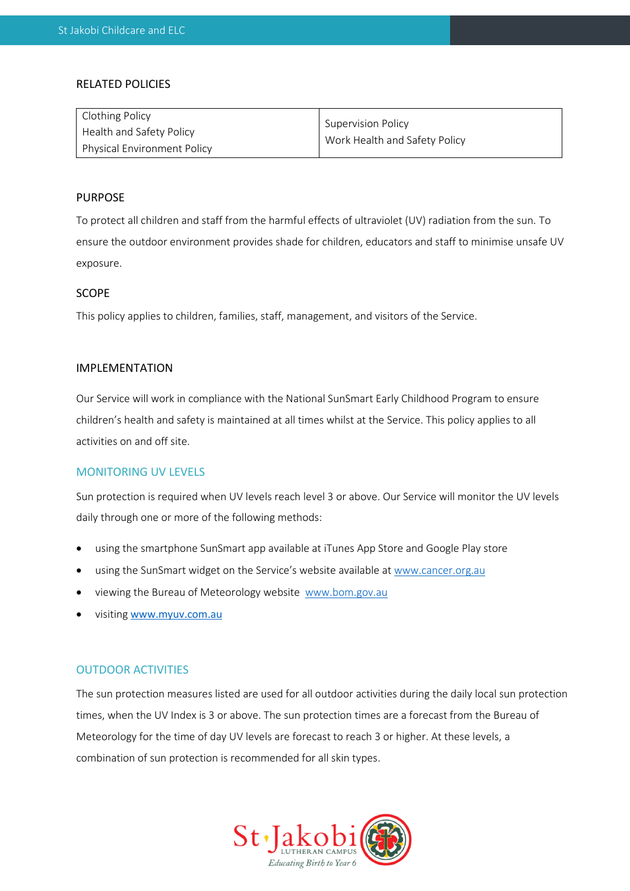# RELATED POLICIES

| <b>Clothing Policy</b>             | Supervision Policy            |  |
|------------------------------------|-------------------------------|--|
| Health and Safety Policy           | Work Health and Safety Policy |  |
| <b>Physical Environment Policy</b> |                               |  |

## PURPOSE

To protect all children and staff from the harmful effects of ultraviolet (UV) radiation from the sun. To ensure the outdoor environment provides shade for children, educators and staff to minimise unsafe UV exposure.

# **SCOPE**

This policy applies to children, families, staff, management, and visitors of the Service.

# IMPLEMENTATION

Our Service will work in compliance with the National SunSmart Early Childhood Program to ensure children's health and safety is maintained at all times whilst at the Service. This policy applies to all activities on and off site.

# MONITORING UV LEVELS

Sun protection is required when UV levels reach level 3 or above. Our Service will monitor the UV levels daily through one or more of the following methods:

- using the smartphone SunSmart app available at iTunes App Store and Google Play store
- using the SunSmart widget on the Service's website available a[t www.cancer.org.au](http://www.cancer.org.au/)
- viewing the Bureau of Meteorology website www.bom.gov.au
- visiting [www.myuv.com.au](http://www.myuv.com.au/)

# OUTDOOR ACTIVITIES

The sun protection measures listed are used for all outdoor activities during the daily local sun protection times, when the UV Index is 3 or above. The sun protection times are a forecast from the Bureau of Meteorology for the time of day UV levels are forecast to reach 3 or higher. At these levels, a combination of sun protection is recommended for all skin types.

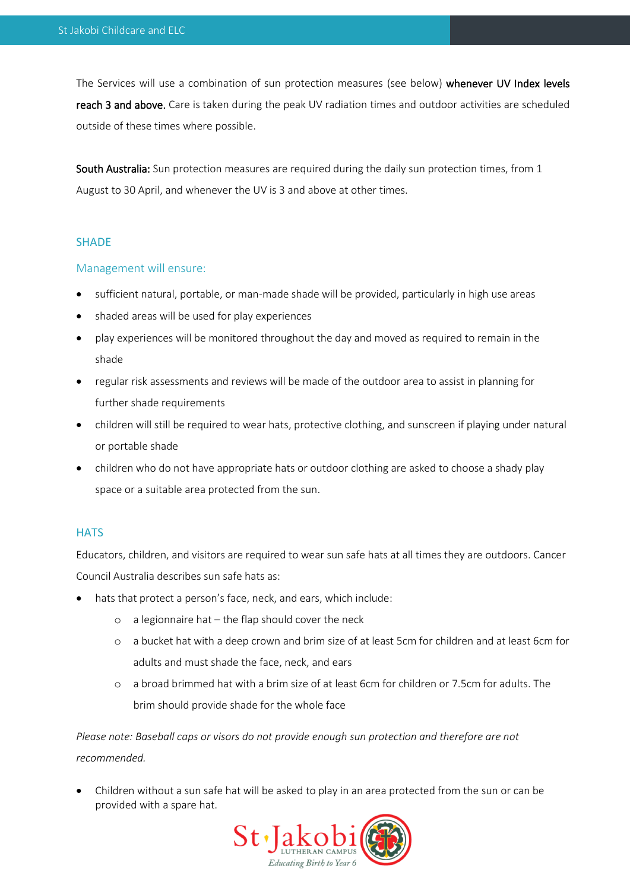The Services will use a combination of sun protection measures (see below) whenever UV Index levels reach 3 and above. Care is taken during the peak UV radiation times and outdoor activities are scheduled outside of these times where possible.

South Australia: Sun protection measures are required during the daily sun protection times, from 1 August to 30 April, and whenever the UV is 3 and above at other times.

## **SHADE**

## Management will ensure:

- sufficient natural, portable, or man-made shade will be provided, particularly in high use areas
- shaded areas will be used for play experiences
- play experiences will be monitored throughout the day and moved as required to remain in the shade
- regular risk assessments and reviews will be made of the outdoor area to assist in planning for further shade requirements
- children will still be required to wear hats, protective clothing, and sunscreen if playing under natural or portable shade
- children who do not have appropriate hats or outdoor clothing are asked to choose a shady play space or a suitable area protected from the sun.

# **HATS**

Educators, children, and visitors are required to wear sun safe hats at all times they are outdoors. Cancer Council Australia describes sun safe hats as:

- hats that protect a person's face, neck, and ears, which include:
	- o a legionnaire hat the flap should cover the neck
	- o a bucket hat with a deep crown and brim size of at least 5cm for children and at least 6cm for adults and must shade the face, neck, and ears
	- o a broad brimmed hat with a brim size of at least 6cm for children or 7.5cm for adults. The brim should provide shade for the whole face

*Please note: Baseball caps or visors do not provide enough sun protection and therefore are not recommended.* 

• Children without a sun safe hat will be asked to play in an area protected from the sun or can be provided with a spare hat.

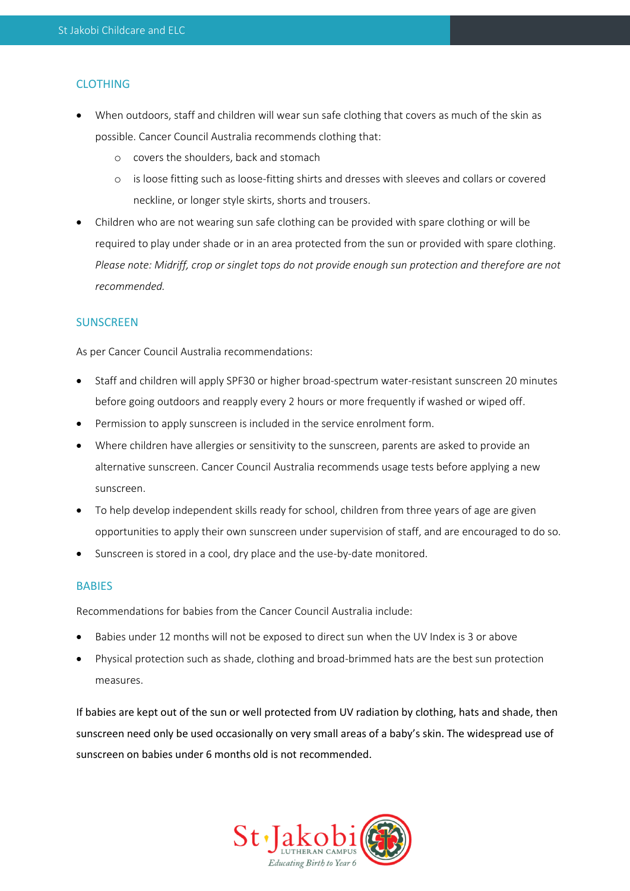# CLOTHING

- When outdoors, staff and children will wear sun safe clothing that covers as much of the skin as possible. Cancer Council Australia recommends clothing that:
	- o covers the shoulders, back and stomach
	- o is loose fitting such as loose-fitting shirts and dresses with sleeves and collars or covered neckline, or longer style skirts, shorts and trousers.
- Children who are not wearing sun safe clothing can be provided with spare clothing or will be required to play under shade or in an area protected from the sun or provided with spare clothing. *Please note: Midriff, crop or singlet tops do not provide enough sun protection and therefore are not recommended.*

# **SUNSCREEN**

As per Cancer Council Australia recommendations:

- Staff and children will apply SPF30 or higher broad-spectrum water-resistant sunscreen 20 minutes before going outdoors and reapply every 2 hours or more frequently if washed or wiped off.
- Permission to apply sunscreen is included in the service enrolment form.
- Where children have allergies or sensitivity to the sunscreen, parents are asked to provide an alternative sunscreen. Cancer Council Australia recommends usage tests before applying a new sunscreen.
- To help develop independent skills ready for school, children from three years of age are given opportunities to apply their own sunscreen under supervision of staff, and are encouraged to do so.
- Sunscreen is stored in a cool, dry place and the use-by-date monitored.

# **BABIES**

Recommendations for babies from the Cancer Council Australia include:

- Babies under 12 months will not be exposed to direct sun when the UV Index is 3 or above
- Physical protection such as shade, clothing and broad-brimmed hats are the best sun protection measures.

If babies are kept out of the sun or well protected from UV radiation by clothing, hats and shade, then sunscreen need only be used occasionally on very small areas of a baby's skin. The widespread use of sunscreen on babies under 6 months old is not recommended.

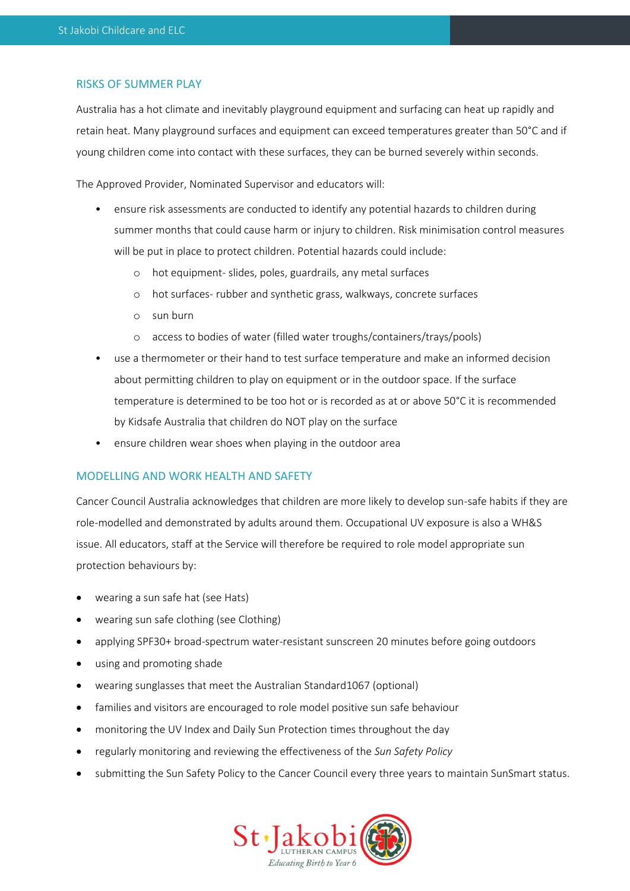# RISKS OF SUMMER PLAY

Australia has a hot climate and inevitably playground equipment and surfacing can heat up rapidly and retain heat. Many playground surfaces and equipment can exceed temperatures greater than 50°C and if young children come into contact with these surfaces, they can be burned severely within seconds.

The Approved Provider, Nominated Supervisor and educators will:

- ensure risk assessments are conducted to identify any potential hazards to children during summer months that could cause harm or injury to children. Risk minimisation control measures will be put in place to protect children. Potential hazards could include:
	- o hot equipment- slides, poles, guardrails, any metal surfaces
	- o hot surfaces- rubber and synthetic grass, walkways, concrete surfaces
	- o sun burn
	- o access to bodies of water (filled water troughs/containers/trays/pools)
- use a thermometer or their hand to test surface temperature and make an informed decision about permitting children to play on equipment or in the outdoor space. If the surface temperature is determined to be too hot or is recorded as at or above 50°C it is recommended by Kidsafe Australia that children do NOT play on the surface
- ensure children wear shoes when playing in the outdoor area

# MODELLING AND WORK HEALTH AND SAFETY

Cancer Council Australia acknowledges that children are more likely to develop sun-safe habits if they are role-modelled and demonstrated by adults around them. Occupational UV exposure is also a WH&S issue. All educators, staff at the Service will therefore be required to role model appropriate sun protection behaviours by:

- wearing a sun safe hat (see Hats)
- wearing sun safe clothing (see Clothing)
- applying SPF30+ broad-spectrum water-resistant sunscreen 20 minutes before going outdoors
- using and promoting shade
- wearing sunglasses that meet the Australian Standard1067 (optional)
- families and visitors are encouraged to role model positive sun safe behaviour
- monitoring the UV Index and Daily Sun Protection times throughout the day
- regularly monitoring and reviewing the effectiveness of the *Sun Safety Policy*
- submitting the Sun Safety Policy to the Cancer Council every three years to maintain SunSmart status.

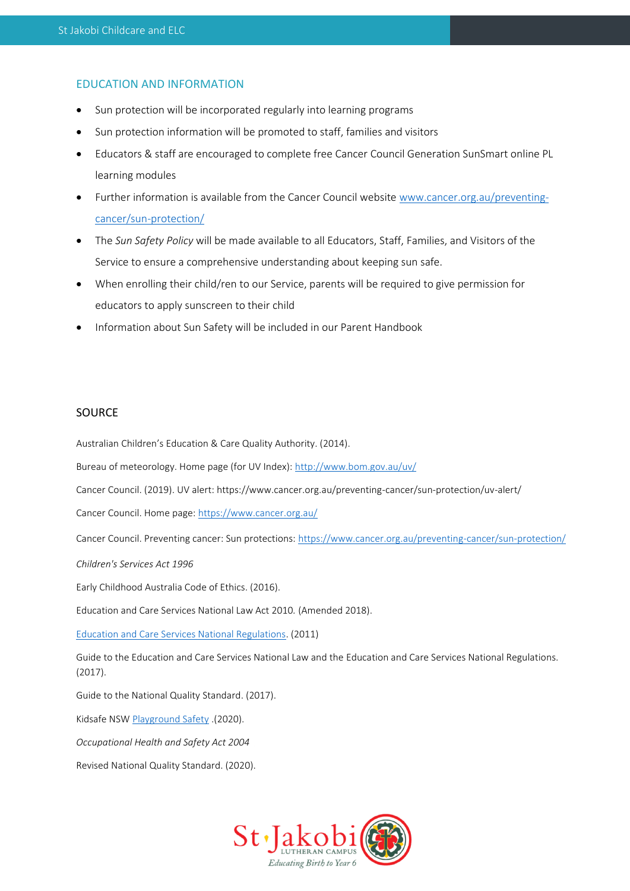# EDUCATION AND INFORMATION

- Sun protection will be incorporated regularly into learning programs
- Sun protection information will be promoted to staff, families and visitors
- Educators & staff are encouraged to complete free Cancer Council Generation SunSmart online PL learning modules
- Further information is available from the Cancer Council website [www.cancer.org.au/preventing](http://www.cancer.org.au/preventing-cancer/sun-protection/)[cancer/sun-protection/](http://www.cancer.org.au/preventing-cancer/sun-protection/)
- The *Sun Safety Policy* will be made available to all Educators, Staff, Families, and Visitors of the Service to ensure a comprehensive understanding about keeping sun safe.
- When enrolling their child/ren to our Service, parents will be required to give permission for educators to apply sunscreen to their child
- Information about Sun Safety will be included in our Parent Handbook

# SOURCE

Australian Children's Education & Care Quality Authority. (2014).

Bureau of meteorology. Home page (for UV Index):<http://www.bom.gov.au/uv/>

Cancer Council. (2019). UV alert: https://www.cancer.org.au/preventing-cancer/sun-protection/uv-alert/

Cancer Council. Home page:<https://www.cancer.org.au/>

Cancer Council. Preventing cancer: Sun protections:<https://www.cancer.org.au/preventing-cancer/sun-protection/>

*Children's Services Act 1996*

Early Childhood Australia Code of Ethics. (2016).

Education and Care Services National Law Act 2010*.* (Amended 2018).

[Education and Care Services National Regulations.](https://www.legislation.nsw.gov.au/view/html/inforce/current/sl-2011-0653?query=((Repealed%3DN+AND+PrintType%3D%22act.reprint%22+AND+PitValid%3D@pointInTime(20200831000000))+OR+(Repealed%3DN+AND+PrintType%3D%22reprint%22+AND+PitValid%3D@pointInTime(20200831000000))+OR+(Repealed%3DN+AND+(PrintType%3D%22epi.reprint%22+OR+PrintType%3D%22epi.electronic%22)+AND+PitValid%3D@pointInTime(20200831000000)))+AND+Content%3D(%22early%22+AND+%22childhood%22)&dQuery=Document+Types%3D%22%3Cspan+class%3D%27dq-highlight%27%3EActs%3C/span%3E,+%3Cspan+class%3D%27dq-highlight%27%3ERegulations%3C/span%3E,+%3Cspan+class%3D%27dq-highlight%27%3EEPIs%3C/span%3E%22,+Search+In%3D%22%3Cspan+class%3D%27dq-highlight%27%3EAll+Content%3C/span%3E%22,+All+Words%3D%22%3Cspan+class%3D%27dq-highlight%27%3Eearly+childhood%3C/span%3E%22,+Point+In+Time%3D%22%3Cspan+class%3D%27dq-highlight%27%3E31/08/2020%3C/span%3E%22) (2011)

Guide to the Education and Care Services National Law and the Education and Care Services National Regulations. (2017).

Guide to the National Quality Standard. (2017).

Kidsafe NSW [Playground Safety](https://www.kidsafensw.org/playground-safety/) .(2020).

*Occupational Health and Safety Act 2004* 

Revised National Quality Standard. (2020).